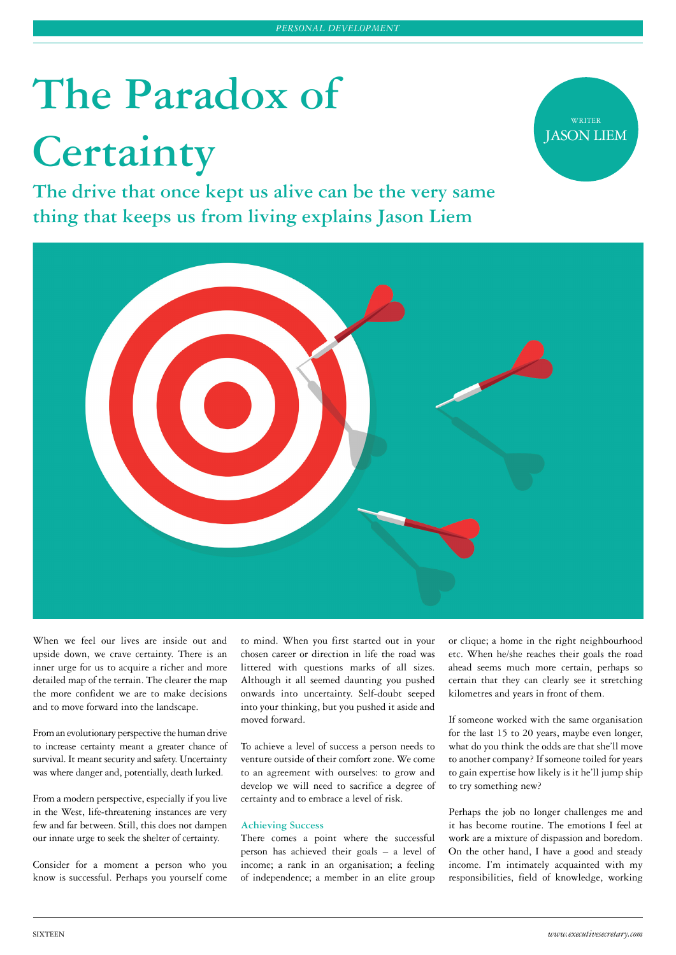# **The Paradox of Certainty**

**The drive that once kept us alive can be the very same thing that keeps us from living explains Jason Liem**





When we feel our lives are inside out and upside down, we crave certainty. There is an inner urge for us to acquire a richer and more detailed map of the terrain. The clearer the map the more confident we are to make decisions and to move forward into the landscape.

From an evolutionary perspective the human drive to increase certainty meant a greater chance of survival. It meant security and safety. Uncertainty was where danger and, potentially, death lurked.

From a modern perspective, especially if you live in the West, life-threatening instances are very few and far between. Still, this does not dampen our innate urge to seek the shelter of certainty.

Consider for a moment a person who you know is successful. Perhaps you yourself come to mind. When you first started out in your chosen career or direction in life the road was littered with questions marks of all sizes. Although it all seemed daunting you pushed onwards into uncertainty. Self-doubt seeped into your thinking, but you pushed it aside and moved forward.

To achieve a level of success a person needs to venture outside of their comfort zone. We come to an agreement with ourselves: to grow and develop we will need to sacrifice a degree of certainty and to embrace a level of risk.

# **Achieving Success**

There comes a point where the successful person has achieved their goals – a level of income; a rank in an organisation; a feeling of independence; a member in an elite group or clique; a home in the right neighbourhood etc. When he/she reaches their goals the road ahead seems much more certain, perhaps so certain that they can clearly see it stretching kilometres and years in front of them.

If someone worked with the same organisation for the last 15 to 20 years, maybe even longer, what do you think the odds are that she'll move to another company? If someone toiled for years to gain expertise how likely is it he'll jump ship to try something new?

Perhaps the job no longer challenges me and it has become routine. The emotions I feel at work are a mixture of dispassion and boredom. On the other hand, I have a good and steady income. I'm intimately acquainted with my responsibilities, field of knowledge, working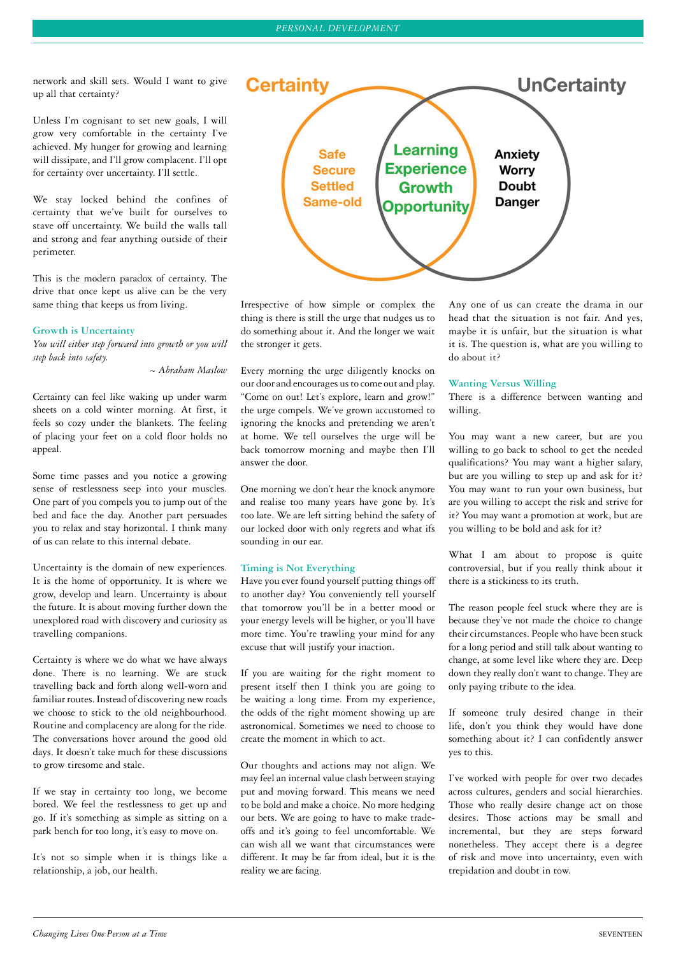network and skill sets. Would I want to give up all that certainty?

Unless I'm cognisant to set new goals, I will grow very comfortable in the certainty I've achieved. My hunger for growing and learning will dissipate, and I'll grow complacent. I'll opt for certainty over uncertainty. I'll settle.

We stay locked behind the confines of certainty that we've built for ourselves to stave off uncertainty. We build the walls tall and strong and fear anything outside of their perimeter.

This is the modern paradox of certainty. The drive that once kept us alive can be the very same thing that keeps us from living.

#### **Growth is Uncertainty**

*You will either step forward into growth or you will step back into safety.*

*~ Abraham Maslow*

Certainty can feel like waking up under warm sheets on a cold winter morning. At first, it feels so cozy under the blankets. The feeling of placing your feet on a cold floor holds no appeal.

Some time passes and you notice a growing sense of restlessness seep into your muscles. One part of you compels you to jump out of the bed and face the day. Another part persuades you to relax and stay horizontal. I think many of us can relate to this internal debate.

Uncertainty is the domain of new experiences. It is the home of opportunity. It is where we grow, develop and learn. Uncertainty is about the future. It is about moving further down the unexplored road with discovery and curiosity as travelling companions.

Certainty is where we do what we have always done. There is no learning. We are stuck travelling back and forth along well-worn and familiar routes. Instead of discovering new roads we choose to stick to the old neighbourhood. Routine and complacency are along for the ride. The conversations hover around the good old days. It doesn't take much for these discussions to grow tiresome and stale.

If we stay in certainty too long, we become bored. We feel the restlessness to get up and go. If it's something as simple as sitting on a park bench for too long, it's easy to move on.

It's not so simple when it is things like a relationship, a job, our health.



Irrespective of how simple or complex the thing is there is still the urge that nudges us to do something about it. And the longer we wait the stronger it gets.

Every morning the urge diligently knocks on our door and encourages us to come out and play. "Come on out! Let's explore, learn and grow!" the urge compels. We've grown accustomed to ignoring the knocks and pretending we aren't at home. We tell ourselves the urge will be back tomorrow morning and maybe then I'll answer the door.

One morning we don't hear the knock anymore and realise too many years have gone by. It's too late. We are left sitting behind the safety of our locked door with only regrets and what ifs sounding in our ear.

# **Timing is Not Everything**

Have you ever found yourself putting things off to another day? You conveniently tell yourself that tomorrow you'll be in a better mood or your energy levels will be higher, or you'll have more time. You're trawling your mind for any excuse that will justify your inaction.

If you are waiting for the right moment to present itself then I think you are going to be waiting a long time. From my experience, the odds of the right moment showing up are astronomical. Sometimes we need to choose to create the moment in which to act.

Our thoughts and actions may not align. We may feel an internal value clash between staying put and moving forward. This means we need to be bold and make a choice. No more hedging our bets. We are going to have to make tradeoffs and it's going to feel uncomfortable. We can wish all we want that circumstances were different. It may be far from ideal, but it is the reality we are facing.

Any one of us can create the drama in our head that the situation is not fair. And yes, maybe it is unfair, but the situation is what it is. The question is, what are you willing to do about it?

# **Wanting Versus Willing**

There is a difference between wanting and willing.

You may want a new career, but are you willing to go back to school to get the needed qualifications? You may want a higher salary, but are you willing to step up and ask for it? You may want to run your own business, but are you willing to accept the risk and strive for it? You may want a promotion at work, but are you willing to be bold and ask for it?

What I am about to propose is quite controversial, but if you really think about it there is a stickiness to its truth.

The reason people feel stuck where they are is because they've not made the choice to change their circumstances. People who have been stuck for a long period and still talk about wanting to change, at some level like where they are. Deep down they really don't want to change. They are only paying tribute to the idea.

If someone truly desired change in their life, don't you think they would have done something about it? I can confidently answer yes to this.

I've worked with people for over two decades across cultures, genders and social hierarchies. Those who really desire change act on those desires. Those actions may be small and incremental, but they are steps forward nonetheless. They accept there is a degree of risk and move into uncertainty, even with trepidation and doubt in tow.